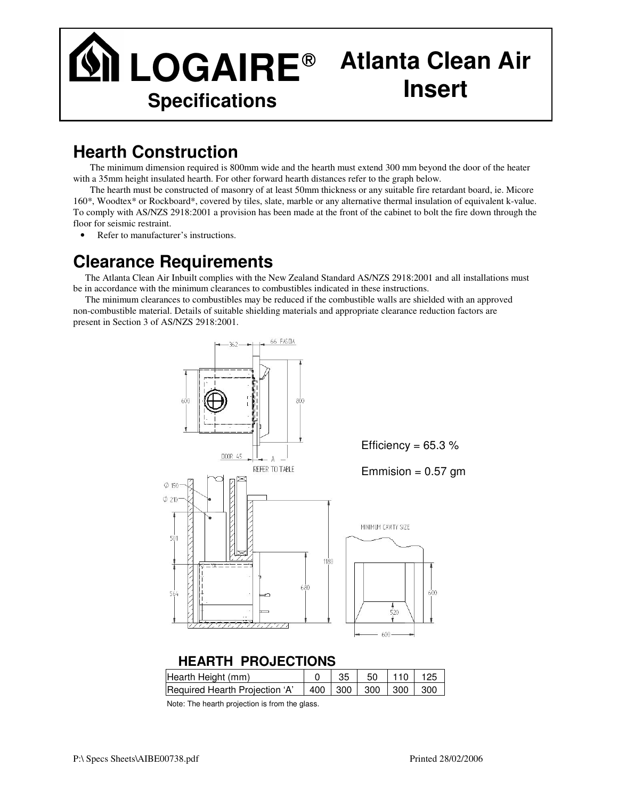## **LOGAIRE Atlanta Clean Air Specifications Insert**

## **Hearth Construction**

The minimum dimension required is 800mm wide and the hearth must extend 300 mm beyond the door of the heater with a 35mm height insulated hearth. For other forward hearth distances refer to the graph below.

The hearth must be constructed of masonry of at least 50mm thickness or any suitable fire retardant board, ie. Micore 160\*, Woodtex\* or Rockboard\*, covered by tiles, slate, marble or any alternative thermal insulation of equivalent k-value. To comply with AS/NZS 2918:2001 a provision has been made at the front of the cabinet to bolt the fire down through the floor for seismic restraint.

• Refer to manufacturer's instructions.

## **Clearance Requirements**

The Atlanta Clean Air Inbuilt complies with the New Zealand Standard AS/NZS 2918:2001 and all installations must be in accordance with the minimum clearances to combustibles indicated in these instructions.

The minimum clearances to combustibles may be reduced if the combustible walls are shielded with an approved non-combustible material. Details of suitable shielding materials and appropriate clearance reduction factors are present in Section 3 of AS/NZS 2918:2001.



## **HEARTH PROJECTIONS**

| Hearth Height (mm)                                                 |  | $0$   35   50   110   125 |  |
|--------------------------------------------------------------------|--|---------------------------|--|
| Required Hearth Projection 'A' $\vert$ 400   300   300   300   300 |  |                           |  |

Note: The hearth projection is from the glass.